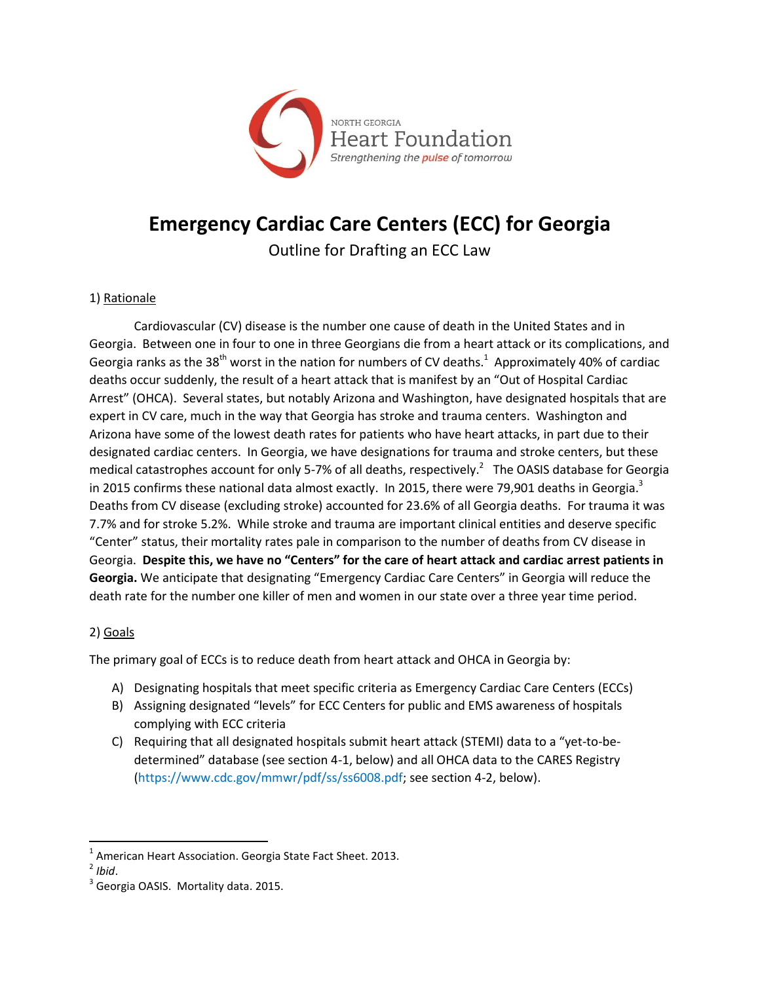

## **Emergency Cardiac Care Centers (ECC) for Georgia**

Outline for Drafting an ECC Law

## 1) Rationale

Cardiovascular (CV) disease is the number one cause of death in the United States and in Georgia. Between one in four to one in three Georgians die from a heart attack or its complications, and Georgia ranks as the 38<sup>th</sup> worst in the nation for numbers of CV deaths.<sup>1</sup> Approximately 40% of cardiac deaths occur suddenly, the result of a heart attack that is manifest by an "Out of Hospital Cardiac Arrest" (OHCA). Several states, but notably Arizona and Washington, have designated hospitals that are expert in CV care, much in the way that Georgia has stroke and trauma centers. Washington and Arizona have some of the lowest death rates for patients who have heart attacks, in part due to their designated cardiac centers. In Georgia, we have designations for trauma and stroke centers, but these medical catastrophes account for only 5-7% of all deaths, respectively.<sup>2</sup> The OASIS database for Georgia in 2015 confirms these national data almost exactly. In 2015, there were 79,901 deaths in Georgia.<sup>3</sup> Deaths from CV disease (excluding stroke) accounted for 23.6% of all Georgia deaths. For trauma it was 7.7% and for stroke 5.2%. While stroke and trauma are important clinical entities and deserve specific "Center" status, their mortality rates pale in comparison to the number of deaths from CV disease in Georgia. **Despite this, we have no "Centers" for the care of heart attack and cardiac arrest patients in Georgia.** We anticipate that designating "Emergency Cardiac Care Centers" in Georgia will reduce the death rate for the number one killer of men and women in our state over a three year time period.

## 2) Goals

The primary goal of ECCs is to reduce death from heart attack and OHCA in Georgia by:

- A) Designating hospitals that meet specific criteria as Emergency Cardiac Care Centers (ECCs)
- B) Assigning designated "levels" for ECC Centers for public and EMS awareness of hospitals complying with ECC criteria
- C) Requiring that all designated hospitals submit heart attack (STEMI) data to a "yet-to-bedetermined" database (see section 4-1, below) and all OHCA data to the CARES Registry (https://www.cdc.gov/mmwr/pdf/ss/ss6008.pdf; see section 4-2, below).

 $\overline{\phantom{a}}$  $^1$  American Heart Association. Georgia State Fact Sheet. 2013.

<sup>2</sup> *Ibid*.

<sup>&</sup>lt;sup>3</sup> Georgia OASIS. Mortality data. 2015.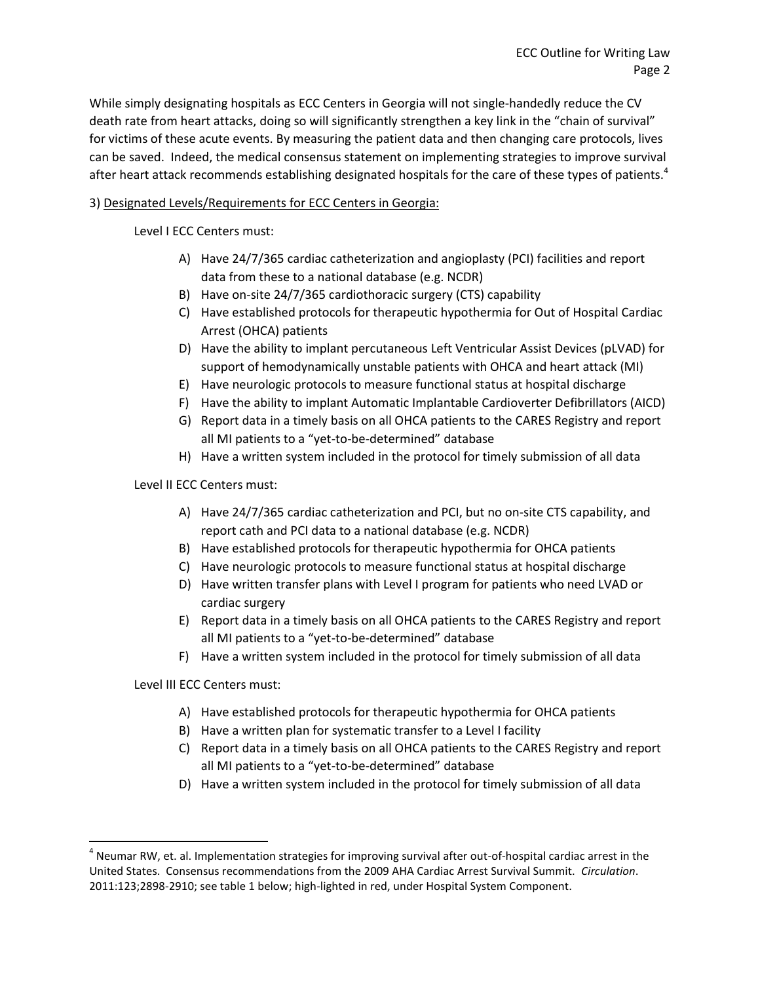While simply designating hospitals as ECC Centers in Georgia will not single-handedly reduce the CV death rate from heart attacks, doing so will significantly strengthen a key link in the "chain of survival" for victims of these acute events. By measuring the patient data and then changing care protocols, lives can be saved. Indeed, the medical consensus statement on implementing strategies to improve survival after heart attack recommends establishing designated hospitals for the care of these types of patients.<sup>4</sup>

## 3) Designated Levels/Requirements for ECC Centers in Georgia:

Level I ECC Centers must:

- A) Have 24/7/365 cardiac catheterization and angioplasty (PCI) facilities and report data from these to a national database (e.g. NCDR)
- B) Have on-site 24/7/365 cardiothoracic surgery (CTS) capability
- C) Have established protocols for therapeutic hypothermia for Out of Hospital Cardiac Arrest (OHCA) patients
- D) Have the ability to implant percutaneous Left Ventricular Assist Devices (pLVAD) for support of hemodynamically unstable patients with OHCA and heart attack (MI)
- E) Have neurologic protocols to measure functional status at hospital discharge
- F) Have the ability to implant Automatic Implantable Cardioverter Defibrillators (AICD)
- G) Report data in a timely basis on all OHCA patients to the CARES Registry and report all MI patients to a "yet-to-be-determined" database
- H) Have a written system included in the protocol for timely submission of all data

Level II ECC Centers must:

- A) Have 24/7/365 cardiac catheterization and PCI, but no on-site CTS capability, and report cath and PCI data to a national database (e.g. NCDR)
- B) Have established protocols for therapeutic hypothermia for OHCA patients
- C) Have neurologic protocols to measure functional status at hospital discharge
- D) Have written transfer plans with Level I program for patients who need LVAD or cardiac surgery
- E) Report data in a timely basis on all OHCA patients to the CARES Registry and report all MI patients to a "yet-to-be-determined" database
- F) Have a written system included in the protocol for timely submission of all data

Level III ECC Centers must:

 $\overline{\phantom{a}}$ 

- A) Have established protocols for therapeutic hypothermia for OHCA patients
- B) Have a written plan for systematic transfer to a Level I facility
- C) Report data in a timely basis on all OHCA patients to the CARES Registry and report all MI patients to a "yet-to-be-determined" database
- D) Have a written system included in the protocol for timely submission of all data

 $^4$  Neumar RW, et. al. Implementation strategies for improving survival after out-of-hospital cardiac arrest in the United States. Consensus recommendations from the 2009 AHA Cardiac Arrest Survival Summit. *Circulation*. 2011:123;2898-2910; see table 1 below; high-lighted in red, under Hospital System Component.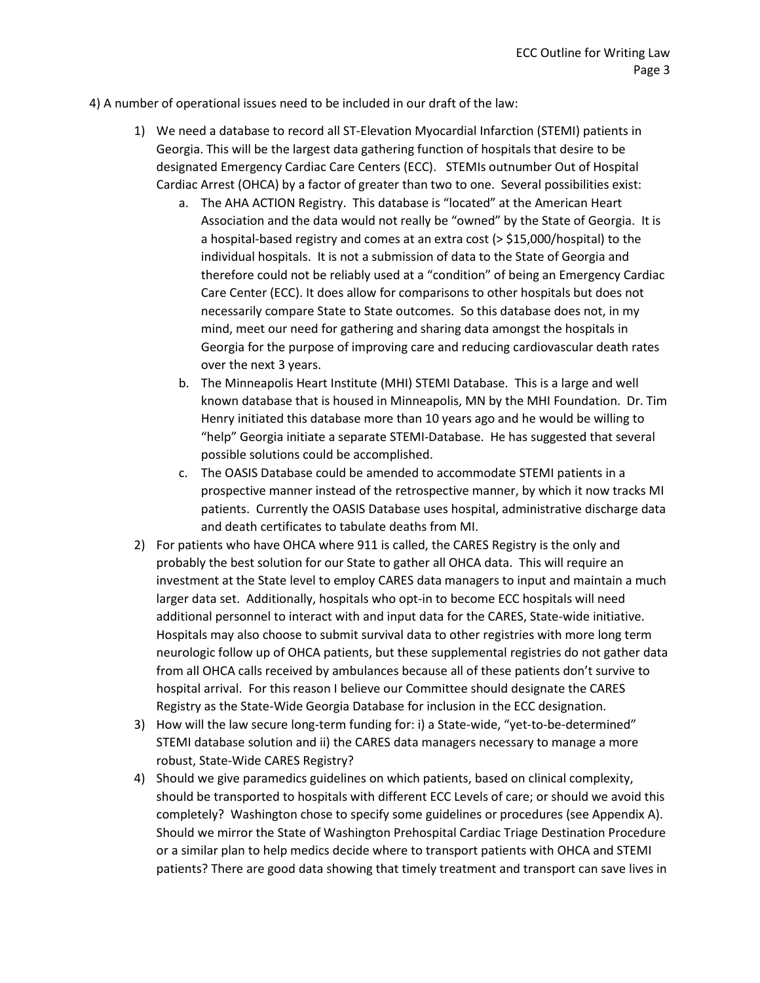4) A number of operational issues need to be included in our draft of the law:

- 1) We need a database to record all ST-Elevation Myocardial Infarction (STEMI) patients in Georgia. This will be the largest data gathering function of hospitals that desire to be designated Emergency Cardiac Care Centers (ECC). STEMIs outnumber Out of Hospital Cardiac Arrest (OHCA) by a factor of greater than two to one. Several possibilities exist:
	- a. The AHA ACTION Registry. This database is "located" at the American Heart Association and the data would not really be "owned" by the State of Georgia. It is a hospital-based registry and comes at an extra cost (> \$15,000/hospital) to the individual hospitals. It is not a submission of data to the State of Georgia and therefore could not be reliably used at a "condition" of being an Emergency Cardiac Care Center (ECC). It does allow for comparisons to other hospitals but does not necessarily compare State to State outcomes. So this database does not, in my mind, meet our need for gathering and sharing data amongst the hospitals in Georgia for the purpose of improving care and reducing cardiovascular death rates over the next 3 years.
	- b. The Minneapolis Heart Institute (MHI) STEMI Database. This is a large and well known database that is housed in Minneapolis, MN by the MHI Foundation. Dr. Tim Henry initiated this database more than 10 years ago and he would be willing to "help" Georgia initiate a separate STEMI-Database. He has suggested that several possible solutions could be accomplished.
	- c. The OASIS Database could be amended to accommodate STEMI patients in a prospective manner instead of the retrospective manner, by which it now tracks MI patients. Currently the OASIS Database uses hospital, administrative discharge data and death certificates to tabulate deaths from MI.
- 2) For patients who have OHCA where 911 is called, the CARES Registry is the only and probably the best solution for our State to gather all OHCA data. This will require an investment at the State level to employ CARES data managers to input and maintain a much larger data set. Additionally, hospitals who opt-in to become ECC hospitals will need additional personnel to interact with and input data for the CARES, State-wide initiative. Hospitals may also choose to submit survival data to other registries with more long term neurologic follow up of OHCA patients, but these supplemental registries do not gather data from all OHCA calls received by ambulances because all of these patients don't survive to hospital arrival. For this reason I believe our Committee should designate the CARES Registry as the State-Wide Georgia Database for inclusion in the ECC designation.
- 3) How will the law secure long-term funding for: i) a State-wide, "yet-to-be-determined" STEMI database solution and ii) the CARES data managers necessary to manage a more robust, State-Wide CARES Registry?
- 4) Should we give paramedics guidelines on which patients, based on clinical complexity, should be transported to hospitals with different ECC Levels of care; or should we avoid this completely? Washington chose to specify some guidelines or procedures (see Appendix A). Should we mirror the State of Washington Prehospital Cardiac Triage Destination Procedure or a similar plan to help medics decide where to transport patients with OHCA and STEMI patients? There are good data showing that timely treatment and transport can save lives in